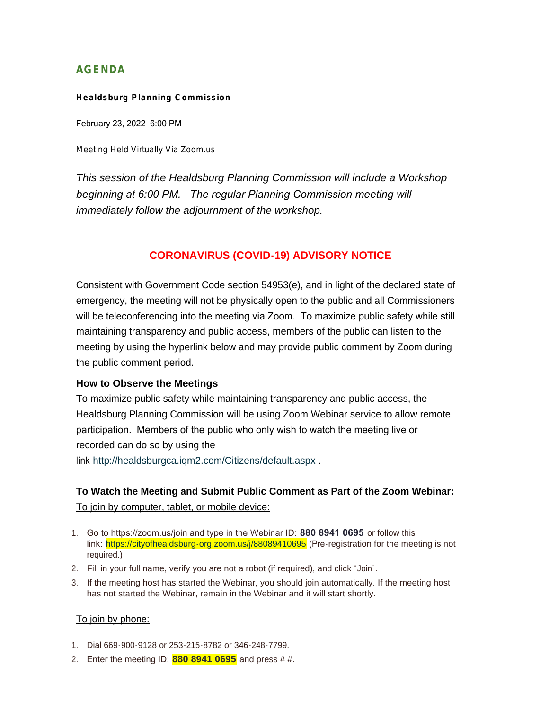# **AGENDA**

#### **Healdsburg Planning Commission**

February 23, 2022 6:00 PM

Meeting Held Virtually Via Zoom.us

*This session of the Healdsburg Planning Commission will include a Workshop beginning at 6:00 PM. The regular Planning Commission meeting will immediately follow the adjournment of the workshop.*

# **CORONAVIRUS (COVID-19) ADVISORY NOTICE**

Consistent with Government Code section 54953(e), and in light of the declared state of emergency, the meeting will not be physically open to the public and all Commissioners will be teleconferencing into the meeting via Zoom. To maximize public safety while still maintaining transparency and public access, members of the public can listen to the meeting by using the hyperlink below and may provide public comment by Zoom during the public comment period.

## **How to Observe the Meetings**

To maximize public safety while maintaining transparency and public access, the Healdsburg Planning Commission will be using Zoom Webinar service to allow remote participation. Members of the public who only wish to watch the meeting live or recorded can do so by using the

link <http://healdsburgca.iqm2.com/Citizens/default.aspx> .

# **To Watch the Meeting and Submit Public Comment as Part of the Zoom Webinar:** To join by computer, tablet, or mobile device:

- 1. Go to https://zoom.us/join and type in the Webinar ID: **880 8941 0695** or follow this link: <https://cityofhealdsburg-org.zoom.us/j/88089410695> (Pre-registration for the meeting is not required.)
- 2. Fill in your full name, verify you are not a robot (if required), and click "Join".
- 3. If the meeting host has started the Webinar, you should join automatically. If the meeting host has not started the Webinar, remain in the Webinar and it will start shortly.

## To join by phone:

- 1. Dial 669-900-9128 or 253-215-8782 or 346-248-7799.
- 2. Enter the meeting ID: **880 8941 0695** and press # #.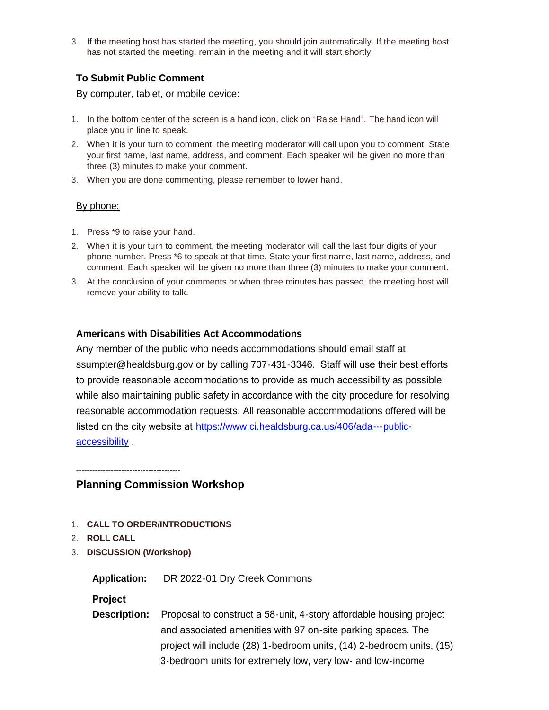3. If the meeting host has started the meeting, you should join automatically. If the meeting host has not started the meeting, remain in the meeting and it will start shortly.

# **To Submit Public Comment**

## By computer, tablet, or mobile device:

- 1. In the bottom center of the screen is a hand icon, click on "Raise Hand". The hand icon will place you in line to speak.
- 2. When it is your turn to comment, the meeting moderator will call upon you to comment. State your first name, last name, address, and comment. Each speaker will be given no more than three (3) minutes to make your comment.
- 3. When you are done commenting, please remember to lower hand.

# By phone:

- 1. Press \*9 to raise your hand.
- 2. When it is your turn to comment, the meeting moderator will call the last four digits of your phone number. Press \*6 to speak at that time. State your first name, last name, address, and comment. Each speaker will be given no more than three (3) minutes to make your comment.
- 3. At the conclusion of your comments or when three minutes has passed, the meeting host will remove your ability to talk.

# **Americans with Disabilities Act Accommodations**

Any member of the public who needs accommodations should email staff at ssumpter@healdsburg.gov or by calling 707-431-3346. Staff will use their best efforts to provide reasonable accommodations to provide as much accessibility as possible while also maintaining public safety in accordance with the city procedure for resolving reasonable accommodation requests. All reasonable accommodations offered will be listed on the city website at https://www.ci.healdsburg.ca.us/406/ada---publicaccessibility .

---------------------------------------

# **Planning Commission Workshop**

- 1. **CALL TO ORDER/INTRODUCTIONS**
- 2. **ROLL CALL**
- 3. **DISCUSSION (Workshop)**

**Application:** DR 2022-01 Dry Creek Commons

# **Project**

**Description:** Proposal to construct a 58-unit, 4-story affordable housing project and associated amenities with 97 on-site parking spaces. The project will include (28) 1-bedroom units, (14) 2-bedroom units, (15) 3-bedroom units for extremely low, very low- and low-income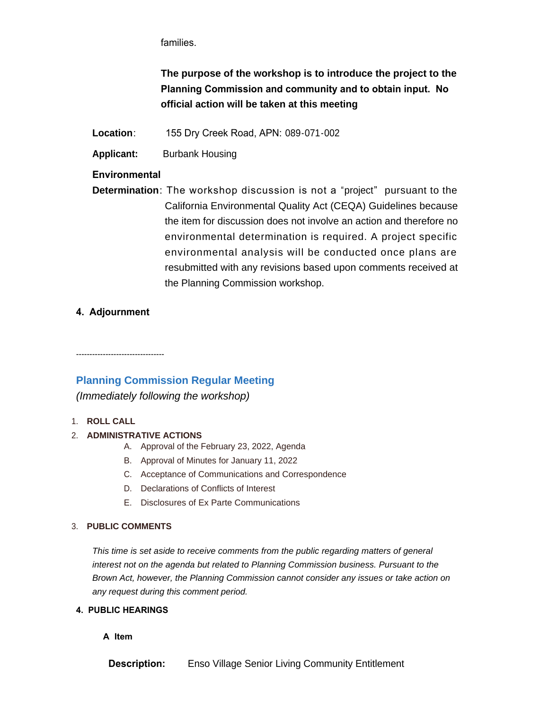families.

**The purpose of the workshop is to introduce the project to the Planning Commission and community and to obtain input. No official action will be taken at this meeting**

**Location**: 155 Dry Creek Road, APN: 089-071-002

**Applicant:** Burbank Housing

**Environmental** 

**Determination**: The workshop discussion is not a "project" pursuant to the California Environmental Quality Act (CEQA) Guidelines because the item for discussion does not involve an action and therefore no environmental determination is required. A project specific environmental analysis will be conducted once plans are resubmitted with any revisions based upon comments received at the Planning Commission workshop.

# **4. Adjournment**

# **Planning Commission Regular Meeting**

*(Immediately following the workshop)*

## 1. **ROLL CALL**

## 2. **ADMINISTRATIVE ACTIONS**

- A. Approval of the February 23, 2022, Agenda
- B. Approval of Minutes for January 11, 2022
- C. Acceptance of Communications and Correspondence
- D. Declarations of Conflicts of Interest
- E. Disclosures of Ex Parte Communications

#### 3. **PUBLIC COMMENTS**

*This time is set aside to receive comments from the public regarding matters of general interest not on the agenda but related to Planning Commission business. Pursuant to the Brown Act, however, the Planning Commission cannot consider any issues or take action on any request during this comment period.*

#### **4. PUBLIC HEARINGS**

**A Item**

**Description:** Enso Village Senior Living Community Entitlement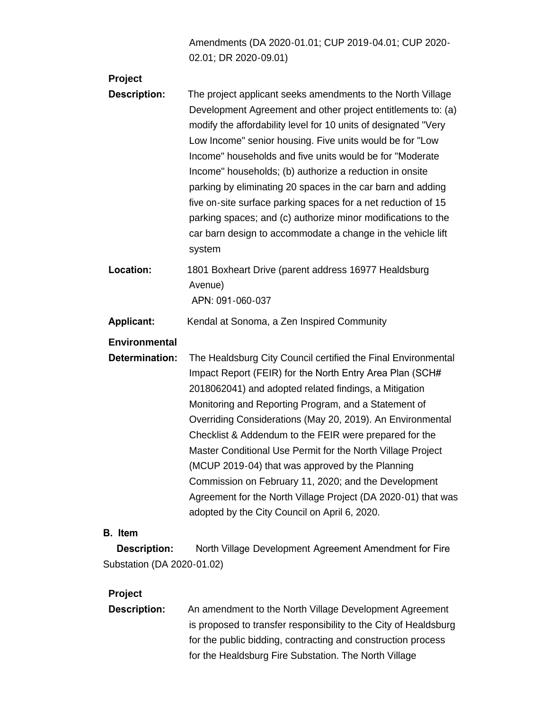Amendments (DA 2020-01.01; CUP 2019-04.01; CUP 2020- 02.01; DR 2020-09.01)

| Project              |                                                                                                                                                                                                                                                                                                                                                                                                                                                                                                                                                                                                                                                                  |
|----------------------|------------------------------------------------------------------------------------------------------------------------------------------------------------------------------------------------------------------------------------------------------------------------------------------------------------------------------------------------------------------------------------------------------------------------------------------------------------------------------------------------------------------------------------------------------------------------------------------------------------------------------------------------------------------|
| <b>Description:</b>  | The project applicant seeks amendments to the North Village<br>Development Agreement and other project entitlements to: (a)<br>modify the affordability level for 10 units of designated "Very<br>Low Income" senior housing. Five units would be for "Low<br>Income" households and five units would be for "Moderate"<br>Income" households; (b) authorize a reduction in onsite<br>parking by eliminating 20 spaces in the car barn and adding<br>five on-site surface parking spaces for a net reduction of 15<br>parking spaces; and (c) authorize minor modifications to the<br>car barn design to accommodate a change in the vehicle lift<br>system      |
| Location:            | 1801 Boxheart Drive (parent address 16977 Healdsburg<br>Avenue)<br>APN: 091-060-037                                                                                                                                                                                                                                                                                                                                                                                                                                                                                                                                                                              |
| <b>Applicant:</b>    | Kendal at Sonoma, a Zen Inspired Community                                                                                                                                                                                                                                                                                                                                                                                                                                                                                                                                                                                                                       |
| <b>Environmental</b> |                                                                                                                                                                                                                                                                                                                                                                                                                                                                                                                                                                                                                                                                  |
| Determination:       | The Healdsburg City Council certified the Final Environmental<br>Impact Report (FEIR) for the North Entry Area Plan (SCH#<br>2018062041) and adopted related findings, a Mitigation<br>Monitoring and Reporting Program, and a Statement of<br>Overriding Considerations (May 20, 2019). An Environmental<br>Checklist & Addendum to the FEIR were prepared for the<br>Master Conditional Use Permit for the North Village Project<br>(MCUP 2019-04) that was approved by the Planning<br>Commission on February 11, 2020; and the Development<br>Agreement for the North Village Project (DA 2020-01) that was<br>adopted by the City Council on April 6, 2020. |
| <b>B.</b> Item       |                                                                                                                                                                                                                                                                                                                                                                                                                                                                                                                                                                                                                                                                  |

 **Description:** North Village Development Agreement Amendment for Fire Substation (DA 2020-01.02)

# **Project**

**Description:** An amendment to the North Village Development Agreement is proposed to transfer responsibility to the City of Healdsburg for the public bidding, contracting and construction process for the Healdsburg Fire Substation. The North Village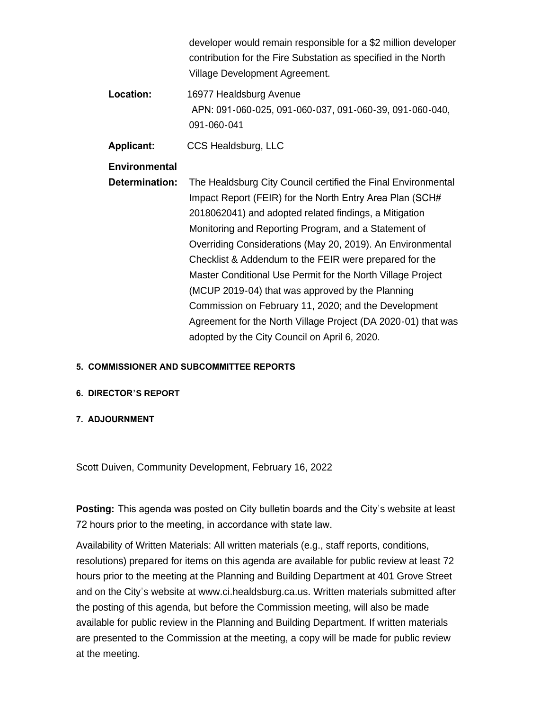|                   | developer would remain responsible for a \$2 million developer<br>contribution for the Fire Substation as specified in the North<br>Village Development Agreement. |
|-------------------|--------------------------------------------------------------------------------------------------------------------------------------------------------------------|
| Location:         | 16977 Healdsburg Avenue<br>APN: 091-060-025, 091-060-037, 091-060-39, 091-060-040,<br>091-060-041                                                                  |
| <b>Applicant:</b> | CCS Healdsburg, LLC                                                                                                                                                |
| Environmental     |                                                                                                                                                                    |
| Determination:    | The Healdsburg City Council certified the Final Environmental                                                                                                      |
|                   | Impact Report (FEIR) for the North Entry Area Plan (SCH#                                                                                                           |
|                   | 2018062041) and adopted related findings, a Mitigation                                                                                                             |
|                   | Monitoring and Reporting Program, and a Statement of                                                                                                               |
|                   | Overriding Considerations (May 20, 2019). An Environmental                                                                                                         |
|                   | Checklist & Addendum to the FEIR were prepared for the                                                                                                             |
|                   | Master Conditional Use Permit for the North Village Project                                                                                                        |
|                   | (MCUP 2019-04) that was approved by the Planning                                                                                                                   |
|                   | Commission on February 11, 2020; and the Development                                                                                                               |
|                   | Agreement for the North Village Project (DA 2020-01) that was                                                                                                      |
|                   | adopted by the City Council on April 6, 2020.                                                                                                                      |

# **5. COMMISSIONER AND SUBCOMMITTEE REPORTS**

## **6. DIRECTOR'S REPORT**

## **7. ADJOURNMENT**

Scott Duiven, Community Development, February 16, 2022

**Posting:** This agenda was posted on City bulletin boards and the City's website at least 72 hours prior to the meeting, in accordance with state law.

Availability of Written Materials: All written materials (e.g., staff reports, conditions, resolutions) prepared for items on this agenda are available for public review at least 72 hours prior to the meeting at the Planning and Building Department at 401 Grove Street and on the City's website at www.ci.healdsburg.ca.us. Written materials submitted after the posting of this agenda, but before the Commission meeting, will also be made available for public review in the Planning and Building Department. If written materials are presented to the Commission at the meeting, a copy will be made for public review at the meeting.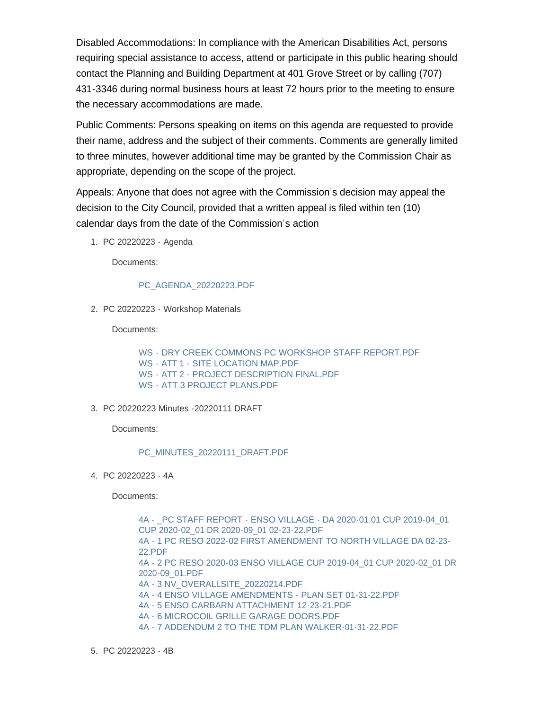Disabled Accommodations: In compliance with the American Disabilities Act, persons requiring special assistance to access, attend or participate in this public hearing should contact the Planning and Building Department at 401 Grove Street or by calling (707) 431-3346 during normal business hours at least 72 hours prior to the meeting to ensure the necessary accommodations are made.

Public Comments: Persons speaking on items on this agenda are requested to provide their name, address and the subject of their comments. Comments are generally limited to three minutes, however additional time may be granted by the Commission Chair as appropriate, depending on the scope of the project.

Appeals: Anyone that does not agree with the Commission's decision may appeal the decision to the City Council, provided that a written appeal is filed within ten (10) calendar days from the date of the Commission's action

PC 20220223 - Agenda 1.

Documents:

#### [PC\\_AGENDA\\_20220223.PDF](https://healdsburg.gov/AgendaCenter/ViewFile/Item/3136?fileID=23854)

PC 20220223 - Workshop Materials 2.

Documents:

WS - [DRY CREEK COMMONS PC WORKSHOP STAFF REPORT.PDF](https://healdsburg.gov/AgendaCenter/ViewFile/Item/3138?fileID=23857) WS - ATT 1 - [SITE LOCATION MAP.PDF](https://healdsburg.gov/AgendaCenter/ViewFile/Item/3138?fileID=23858) WS - ATT 2 - [PROJECT DESCRIPTION FINAL.PDF](https://healdsburg.gov/AgendaCenter/ViewFile/Item/3138?fileID=23859) WS - [ATT 3 PROJECT PLANS.PDF](https://healdsburg.gov/AgendaCenter/ViewFile/Item/3138?fileID=23856)

#### PC 20220223 Minutes -20220111 DRAFT 3.

Documents:

[PC\\_MINUTES\\_20220111\\_DRAFT.PDF](https://healdsburg.gov/AgendaCenter/ViewFile/Item/3137?fileID=23855)

PC 20220223 - 4A 4.

Documents:

[4A - \\_PC STAFF REPORT - ENSO VILLAGE - DA 2020-01.01 CUP 2019-04\\_01](https://healdsburg.gov/AgendaCenter/ViewFile/Item/3139?fileID=23866)  CUP 2020-02\_01 DR 2020-09\_01 02-23-22.PDF [4A - 1 PC RESO 2022-02 FIRST AMENDMENT TO NORTH VILLAGE DA 02-23-](https://healdsburg.gov/AgendaCenter/ViewFile/Item/3139?fileID=23867) 22.PDF [4A - 2 PC RESO 2020-03 ENSO VILLAGE CUP 2019-04\\_01 CUP 2020-02\\_01 DR](https://healdsburg.gov/AgendaCenter/ViewFile/Item/3139?fileID=23860)  2020-09\_01.PDF [4A - 3 NV\\_OVERALLSITE\\_20220214.PDF](https://healdsburg.gov/AgendaCenter/ViewFile/Item/3139?fileID=23861) [4A - 4 ENSO VILLAGE AMENDMENTS - PLAN SET 01-31-22.PDF](https://healdsburg.gov/AgendaCenter/ViewFile/Item/3139?fileID=23862) [4A - 5 ENSO CARBARN ATTACHMENT 12-23-21.PDF](https://healdsburg.gov/AgendaCenter/ViewFile/Item/3139?fileID=23863) [4A - 6 MICROCOIL GRILLE GARAGE DOORS.PDF](https://healdsburg.gov/AgendaCenter/ViewFile/Item/3139?fileID=23864) [4A - 7 ADDENDUM 2 TO THE TDM PLAN WALKER-01-31-22.PDF](https://healdsburg.gov/AgendaCenter/ViewFile/Item/3139?fileID=23865)

PC 20220223 - 4B 5.